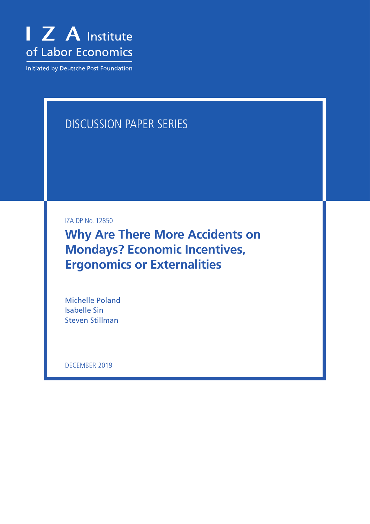

Initiated by Deutsche Post Foundation

# DISCUSSION PAPER SERIES

IZA DP No. 12850

**Why Are There More Accidents on Mondays? Economic Incentives, Ergonomics or Externalities**

Michelle Poland Isabelle Sin Steven Stillman

DECEMBER 2019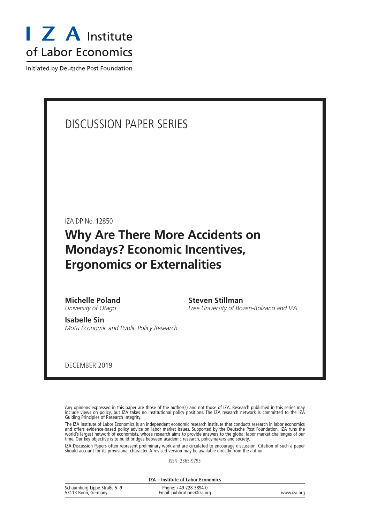

Initiated by Deutsche Post Foundation

# DISCUSSION PAPER SERIES

IZA DP No. 12850

# **Why Are There More Accidents on Mondays? Economic Incentives, Ergonomics or Externalities**

**Michelle Poland** *University of Otago*

**Steven Stillman**

*Free University of Bozen-Bolzano and IZA*

**Isabelle Sin** *Motu Economic and Public Policy Research*

DECEMBER 2019

Any opinions expressed in this paper are those of the author(s) and not those of IZA. Research published in this series may include views on policy, but IZA takes no institutional policy positions. The IZA research network is committed to the IZA Guiding Principles of Research Integrity.

The IZA Institute of Labor Economics is an independent economic research institute that conducts research in labor economics and offers evidence-based policy advice on labor market issues. Supported by the Deutsche Post Foundation, IZA runs the world's largest network of economists, whose research aims to provide answers to the global labor market challenges of our time. Our key objective is to build bridges between academic research, policymakers and society.

IZA Discussion Papers often represent preliminary work and are circulated to encourage discussion. Citation of such a paper should account for its provisional character. A revised version may be available directly from the author.

ISSN: 2365-9793

**IZA – Institute of Labor Economics**

| Schaumburg-Lippe-Straße 5-9 | Phone: +49-228-3894-0       |             |
|-----------------------------|-----------------------------|-------------|
| 53113 Bonn, Germany         | Email: publications@iza.org | www.iza.org |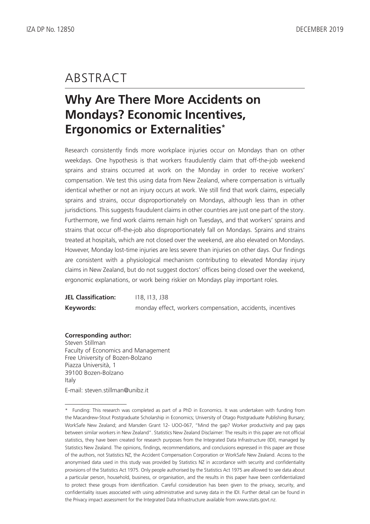# ABSTRACT

# **Why Are There More Accidents on Mondays? Economic Incentives, Ergonomics or Externalities\***

Research consistently finds more workplace injuries occur on Mondays than on other weekdays. One hypothesis is that workers fraudulently claim that off-the-job weekend sprains and strains occurred at work on the Monday in order to receive workers' compensation. We test this using data from New Zealand, where compensation is virtually identical whether or not an injury occurs at work. We still find that work claims, especially sprains and strains, occur disproportionately on Mondays, although less than in other jurisdictions. This suggests fraudulent claims in other countries are just one part of the story. Furthermore, we find work claims remain high on Tuesdays, and that workers' sprains and strains that occur off-the-job also disproportionately fall on Mondays. Sprains and strains treated at hospitals, which are not closed over the weekend, are also elevated on Mondays. However, Monday lost-time injuries are less severe than injuries on other days. Our findings are consistent with a physiological mechanism contributing to elevated Monday injury claims in New Zealand, but do not suggest doctors' offices being closed over the weekend, ergonomic explanations, or work being riskier on Mondays play important roles.

| <b>JEL Classification:</b> | 118.113.338                                                |
|----------------------------|------------------------------------------------------------|
| Keywords:                  | monday effect, workers compensation, accidents, incentives |

# **Corresponding author:**

Steven Stillman Faculty of Economics and Management Free University of Bozen-Bolzano Piazza Università, 1 39100 Bozen-Bolzano Italy E-mail: steven.stillman@unibz.it

<sup>\*</sup> Funding: This research was completed as part of a PhD in Economics. It was undertaken with funding from the Macandrew-Stout Postgraduate Scholarship in Economics; University of Otago Postgraduate Publishing Bursary; WorkSafe New Zealand; and Marsden Grant 12- UOO-067, "Mind the gap? Worker productivity and pay gaps between similar workers in New Zealand". Statistics New Zealand Disclaimer: The results in this paper are not official statistics, they have been created for research purposes from the Integrated Data Infrastructure (IDI), managed by Statistics New Zealand. The opinions, findings, recommendations, and conclusions expressed in this paper are those of the authors, not Statistics NZ, the Accident Compensation Corporation or WorkSafe New Zealand. Access to the anonymised data used in this study was provided by Statistics NZ in accordance with security and confidentiality provisions of the Statistics Act 1975. Only people authorised by the Statistics Act 1975 are allowed to see data about a particular person, household, business, or organisation, and the results in this paper have been confidentialized to protect these groups from identification. Careful consideration has been given to the privacy, security, and confidentiality issues associated with using administrative and survey data in the IDI. Further detail can be found in the Privacy impact assessment for the Integrated Data Infrastructure available from www.stats.govt.nz.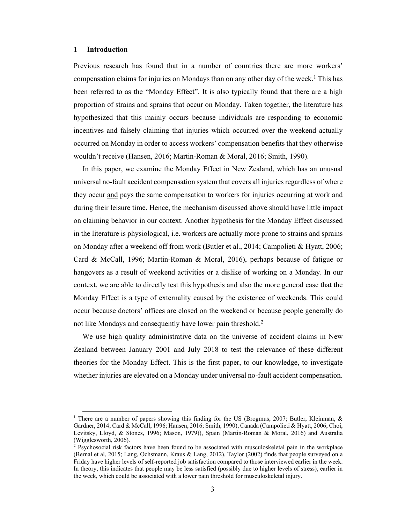## **1 Introduction**

Previous research has found that in a number of countries there are more workers' compensation claims for injuries on Mondays than on any other day of the week.<sup>1</sup> This has been referred to as the "Monday Effect". It is also typically found that there are a high proportion of strains and sprains that occur on Monday. Taken together, the literature has hypothesized that this mainly occurs because individuals are responding to economic incentives and falsely claiming that injuries which occurred over the weekend actually occurred on Monday in order to access workers' compensation benefits that they otherwise wouldn't receive (Hansen, 2016; Martin-Roman & Moral, 2016; Smith, 1990).

In this paper, we examine the Monday Effect in New Zealand, which has an unusual universal no-fault accident compensation system that covers all injuries regardless of where they occur and pays the same compensation to workers for injuries occurring at work and during their leisure time. Hence, the mechanism discussed above should have little impact on claiming behavior in our context. Another hypothesis for the Monday Effect discussed in the literature is physiological, i.e. workers are actually more prone to strains and sprains on Monday after a weekend off from work (Butler et al., 2014; Campolieti & Hyatt, 2006; Card & McCall, 1996; Martin-Roman & Moral, 2016), perhaps because of fatigue or hangovers as a result of weekend activities or a dislike of working on a Monday. In our context, we are able to directly test this hypothesis and also the more general case that the Monday Effect is a type of externality caused by the existence of weekends. This could occur because doctors' offices are closed on the weekend or because people generally do not like Mondays and consequently have lower pain threshold.<sup>2</sup>

We use high quality administrative data on the universe of accident claims in New Zealand between January 2001 and July 2018 to test the relevance of these different theories for the Monday Effect. This is the first paper, to our knowledge, to investigate whether injuries are elevated on a Monday under universal no-fault accident compensation.

<sup>&</sup>lt;sup>1</sup> There are a number of papers showing this finding for the US (Brogmus, 2007; Butler, Kleinman, & Gardner, 2014; Card & McCall, 1996; Hansen, 2016; Smith, 1990), Canada (Campolieti & Hyatt, 2006; Choi, Levitsky, Lloyd, & Stones, 1996; Mason, 1979)), Spain (Martin-Roman & Moral, 2016) and Australia (Wigglesworth, 2006).

<sup>&</sup>lt;sup>2</sup> Psychosocial risk factors have been found to be associated with musculoskeletal pain in the workplace (Bernal et al, 2015; Lang, Ochsmann, Kraus & Lang, 2012). Taylor (2002) finds that people surveyed on a Friday have higher levels of self-reported job satisfaction compared to those interviewed earlier in the week. In theory, this indicates that people may be less satisfied (possibly due to higher levels of stress), earlier in the week, which could be associated with a lower pain threshold for musculoskeletal injury.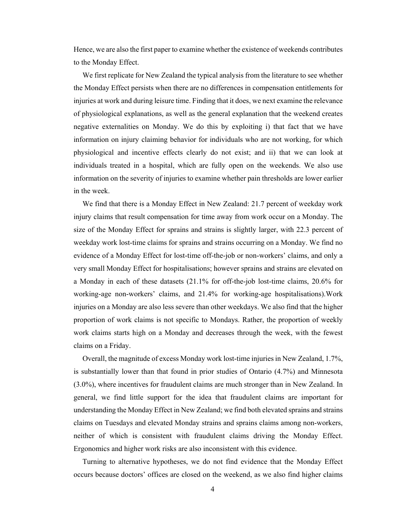Hence, we are also the first paper to examine whether the existence of weekends contributes to the Monday Effect.

We first replicate for New Zealand the typical analysis from the literature to see whether the Monday Effect persists when there are no differences in compensation entitlements for injuries at work and during leisure time. Finding that it does, we next examine the relevance of physiological explanations, as well as the general explanation that the weekend creates negative externalities on Monday. We do this by exploiting i) that fact that we have information on injury claiming behavior for individuals who are not working, for which physiological and incentive effects clearly do not exist; and ii) that we can look at individuals treated in a hospital, which are fully open on the weekends. We also use information on the severity of injuries to examine whether pain thresholds are lower earlier in the week.

We find that there is a Monday Effect in New Zealand: 21.7 percent of weekday work injury claims that result compensation for time away from work occur on a Monday. The size of the Monday Effect for sprains and strains is slightly larger, with 22.3 percent of weekday work lost-time claims for sprains and strains occurring on a Monday. We find no evidence of a Monday Effect for lost-time off-the-job or non-workers' claims, and only a very small Monday Effect for hospitalisations; however sprains and strains are elevated on a Monday in each of these datasets (21.1% for off-the-job lost-time claims, 20.6% for working-age non-workers' claims, and 21.4% for working-age hospitalisations).Work injuries on a Monday are also less severe than other weekdays. We also find that the higher proportion of work claims is not specific to Mondays. Rather, the proportion of weekly work claims starts high on a Monday and decreases through the week, with the fewest claims on a Friday.

Overall, the magnitude of excess Monday work lost-time injuries in New Zealand, 1.7%, is substantially lower than that found in prior studies of Ontario (4.7%) and Minnesota (3.0%), where incentives for fraudulent claims are much stronger than in New Zealand. In general, we find little support for the idea that fraudulent claims are important for understanding the Monday Effect in New Zealand; we find both elevated sprains and strains claims on Tuesdays and elevated Monday strains and sprains claims among non-workers, neither of which is consistent with fraudulent claims driving the Monday Effect. Ergonomics and higher work risks are also inconsistent with this evidence.

Turning to alternative hypotheses, we do not find evidence that the Monday Effect occurs because doctors' offices are closed on the weekend, as we also find higher claims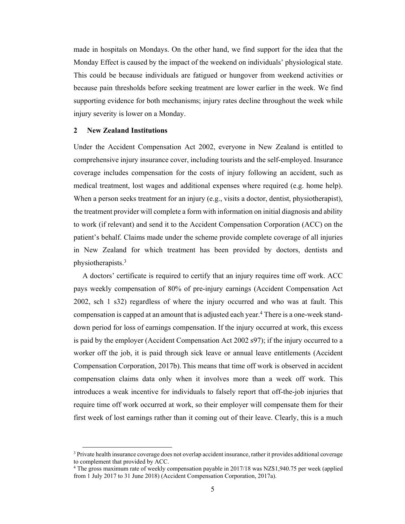made in hospitals on Mondays. On the other hand, we find support for the idea that the Monday Effect is caused by the impact of the weekend on individuals' physiological state. This could be because individuals are fatigued or hungover from weekend activities or because pain thresholds before seeking treatment are lower earlier in the week. We find supporting evidence for both mechanisms; injury rates decline throughout the week while injury severity is lower on a Monday.

# **2 New Zealand Institutions**

Under the Accident Compensation Act 2002, everyone in New Zealand is entitled to comprehensive injury insurance cover, including tourists and the self-employed. Insurance coverage includes compensation for the costs of injury following an accident, such as medical treatment, lost wages and additional expenses where required (e.g. home help). When a person seeks treatment for an injury (e.g., visits a doctor, dentist, physiotherapist), the treatment provider will complete a form with information on initial diagnosis and ability to work (if relevant) and send it to the Accident Compensation Corporation (ACC) on the patient's behalf. Claims made under the scheme provide complete coverage of all injuries in New Zealand for which treatment has been provided by doctors, dentists and physiotherapists.3

A doctors' certificate is required to certify that an injury requires time off work. ACC pays weekly compensation of 80% of pre-injury earnings (Accident Compensation Act 2002, sch 1 s32) regardless of where the injury occurred and who was at fault. This compensation is capped at an amount that is adjusted each year.4 There is a one-week standdown period for loss of earnings compensation. If the injury occurred at work, this excess is paid by the employer (Accident Compensation Act 2002 s97); if the injury occurred to a worker off the job, it is paid through sick leave or annual leave entitlements (Accident Compensation Corporation, 2017b). This means that time off work is observed in accident compensation claims data only when it involves more than a week off work. This introduces a weak incentive for individuals to falsely report that off-the-job injuries that require time off work occurred at work, so their employer will compensate them for their first week of lost earnings rather than it coming out of their leave. Clearly, this is a much

<sup>&</sup>lt;sup>3</sup> Private health insurance coverage does not overlap accident insurance, rather it provides additional coverage to complement that provided by ACC.

<sup>4</sup> The gross maximum rate of weekly compensation payable in 2017/18 was NZ\$1,940.75 per week (applied from 1 July 2017 to 31 June 2018) (Accident Compensation Corporation, 2017a).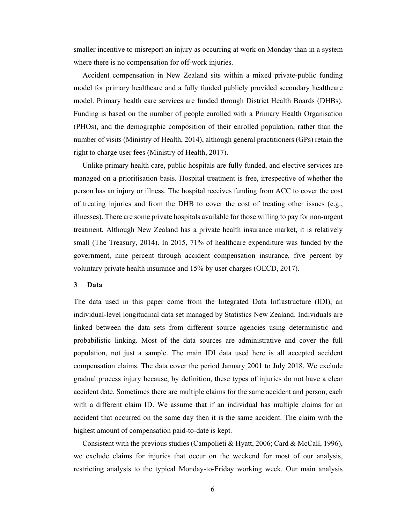smaller incentive to misreport an injury as occurring at work on Monday than in a system where there is no compensation for off-work injuries.

Accident compensation in New Zealand sits within a mixed private-public funding model for primary healthcare and a fully funded publicly provided secondary healthcare model. Primary health care services are funded through District Health Boards (DHBs). Funding is based on the number of people enrolled with a Primary Health Organisation (PHOs), and the demographic composition of their enrolled population, rather than the number of visits (Ministry of Health, 2014), although general practitioners (GPs) retain the right to charge user fees (Ministry of Health, 2017).

Unlike primary health care, public hospitals are fully funded, and elective services are managed on a prioritisation basis. Hospital treatment is free, irrespective of whether the person has an injury or illness. The hospital receives funding from ACC to cover the cost of treating injuries and from the DHB to cover the cost of treating other issues (e.g., illnesses). There are some private hospitals available for those willing to pay for non-urgent treatment. Although New Zealand has a private health insurance market, it is relatively small (The Treasury, 2014). In 2015, 71% of healthcare expenditure was funded by the government, nine percent through accident compensation insurance, five percent by voluntary private health insurance and 15% by user charges (OECD, 2017).

### **3 Data**

The data used in this paper come from the Integrated Data Infrastructure (IDI), an individual-level longitudinal data set managed by Statistics New Zealand. Individuals are linked between the data sets from different source agencies using deterministic and probabilistic linking. Most of the data sources are administrative and cover the full population, not just a sample. The main IDI data used here is all accepted accident compensation claims. The data cover the period January 2001 to July 2018. We exclude gradual process injury because, by definition, these types of injuries do not have a clear accident date. Sometimes there are multiple claims for the same accident and person, each with a different claim ID. We assume that if an individual has multiple claims for an accident that occurred on the same day then it is the same accident. The claim with the highest amount of compensation paid-to-date is kept.

Consistent with the previous studies (Campolieti & Hyatt, 2006; Card & McCall, 1996), we exclude claims for injuries that occur on the weekend for most of our analysis, restricting analysis to the typical Monday-to-Friday working week. Our main analysis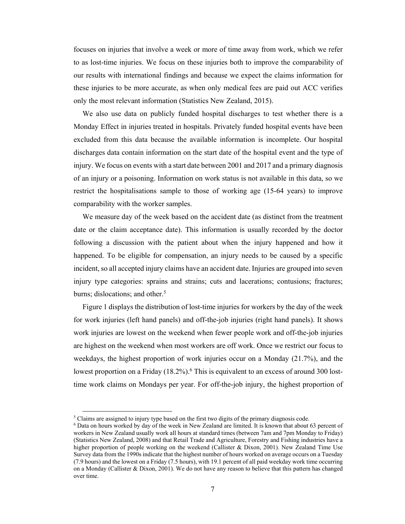focuses on injuries that involve a week or more of time away from work, which we refer to as lost-time injuries. We focus on these injuries both to improve the comparability of our results with international findings and because we expect the claims information for these injuries to be more accurate, as when only medical fees are paid out ACC verifies only the most relevant information (Statistics New Zealand, 2015).

We also use data on publicly funded hospital discharges to test whether there is a Monday Effect in injuries treated in hospitals. Privately funded hospital events have been excluded from this data because the available information is incomplete. Our hospital discharges data contain information on the start date of the hospital event and the type of injury. We focus on events with a start date between 2001 and 2017 and a primary diagnosis of an injury or a poisoning. Information on work status is not available in this data, so we restrict the hospitalisations sample to those of working age (15-64 years) to improve comparability with the worker samples.

We measure day of the week based on the accident date (as distinct from the treatment date or the claim acceptance date). This information is usually recorded by the doctor following a discussion with the patient about when the injury happened and how it happened. To be eligible for compensation, an injury needs to be caused by a specific incident, so all accepted injury claims have an accident date. Injuries are grouped into seven injury type categories: sprains and strains; cuts and lacerations; contusions; fractures; burns; dislocations; and other.<sup>5</sup>

Figure 1 displays the distribution of lost-time injuries for workers by the day of the week for work injuries (left hand panels) and off-the-job injuries (right hand panels). It shows work injuries are lowest on the weekend when fewer people work and off-the-job injuries are highest on the weekend when most workers are off work. Once we restrict our focus to weekdays, the highest proportion of work injuries occur on a Monday (21.7%), and the lowest proportion on a Friday (18.2%).<sup>6</sup> This is equivalent to an excess of around 300 losttime work claims on Mondays per year. For off-the-job injury, the highest proportion of

 $\frac{1}{2}$ <sup>5</sup> Claims are assigned to injury type based on the first two digits of the primary diagnosis code.<br><sup>6</sup> Data on hours worked by day of the week in New Zealand are limited. It is known that about the

Data on hours worked by day of the week in New Zealand are limited. It is known that about 63 percent of workers in New Zealand usually work all hours at standard times (between 7am and 7pm Monday to Friday) (Statistics New Zealand, 2008) and that Retail Trade and Agriculture, Forestry and Fishing industries have a higher proportion of people working on the weekend (Callister & Dixon, 2001). New Zealand Time Use Survey data from the 1990s indicate that the highest number of hours worked on average occurs on a Tuesday (7.9 hours) and the lowest on a Friday (7.5 hours), with 19.1 percent of all paid weekday work time occurring on a Monday (Callister & Dixon, 2001). We do not have any reason to believe that this pattern has changed over time.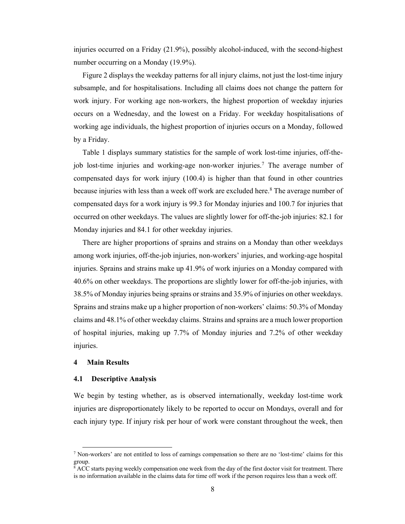injuries occurred on a Friday (21.9%), possibly alcohol-induced, with the second-highest number occurring on a Monday (19.9%).

Figure 2 displays the weekday patterns for all injury claims, not just the lost-time injury subsample, and for hospitalisations. Including all claims does not change the pattern for work injury. For working age non-workers, the highest proportion of weekday injuries occurs on a Wednesday, and the lowest on a Friday. For weekday hospitalisations of working age individuals, the highest proportion of injuries occurs on a Monday, followed by a Friday.

Table 1 displays summary statistics for the sample of work lost-time injuries, off-thejob lost-time injuries and working-age non-worker injuries.7 The average number of compensated days for work injury (100.4) is higher than that found in other countries because injuries with less than a week off work are excluded here.<sup>8</sup> The average number of compensated days for a work injury is 99.3 for Monday injuries and 100.7 for injuries that occurred on other weekdays. The values are slightly lower for off-the-job injuries: 82.1 for Monday injuries and 84.1 for other weekday injuries.

There are higher proportions of sprains and strains on a Monday than other weekdays among work injuries, off-the-job injuries, non-workers' injuries, and working-age hospital injuries. Sprains and strains make up 41.9% of work injuries on a Monday compared with 40.6% on other weekdays. The proportions are slightly lower for off-the-job injuries, with 38.5% of Monday injuries being sprains or strains and 35.9% of injuries on other weekdays. Sprains and strains make up a higher proportion of non-workers' claims: 50.3% of Monday claims and 48.1% of other weekday claims. Strains and sprains are a much lower proportion of hospital injuries, making up 7.7% of Monday injuries and 7.2% of other weekday injuries.

# **4 Main Results**

### **4.1 Descriptive Analysis**

We begin by testing whether, as is observed internationally, weekday lost-time work injuries are disproportionately likely to be reported to occur on Mondays, overall and for each injury type. If injury risk per hour of work were constant throughout the week, then

 <sup>7</sup> Non-workers' are not entitled to loss of earnings compensation so there are no 'lost-time' claims for this group.

<sup>&</sup>lt;sup>8</sup> ACC starts paying weekly compensation one week from the day of the first doctor visit for treatment. There is no information available in the claims data for time off work if the person requires less than a week off.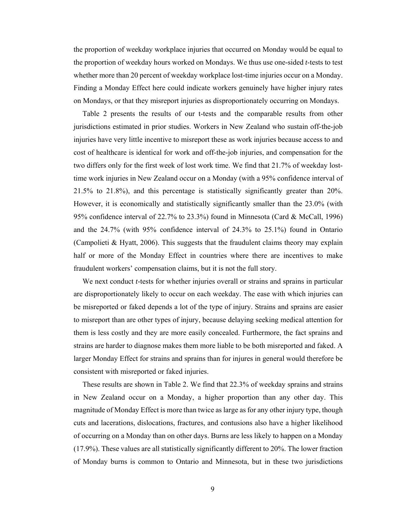the proportion of weekday workplace injuries that occurred on Monday would be equal to the proportion of weekday hours worked on Mondays. We thus use one-sided *t*-tests to test whether more than 20 percent of weekday workplace lost-time injuries occur on a Monday. Finding a Monday Effect here could indicate workers genuinely have higher injury rates on Mondays, or that they misreport injuries as disproportionately occurring on Mondays.

Table 2 presents the results of our t-tests and the comparable results from other jurisdictions estimated in prior studies. Workers in New Zealand who sustain off-the-job injuries have very little incentive to misreport these as work injuries because access to and cost of healthcare is identical for work and off-the-job injuries, and compensation for the two differs only for the first week of lost work time. We find that 21.7% of weekday losttime work injuries in New Zealand occur on a Monday (with a 95% confidence interval of 21.5% to 21.8%), and this percentage is statistically significantly greater than 20%. However, it is economically and statistically significantly smaller than the 23.0% (with 95% confidence interval of 22.7% to 23.3%) found in Minnesota (Card & McCall, 1996) and the 24.7% (with 95% confidence interval of 24.3% to 25.1%) found in Ontario (Campolieti & Hyatt, 2006). This suggests that the fraudulent claims theory may explain half or more of the Monday Effect in countries where there are incentives to make fraudulent workers' compensation claims, but it is not the full story.

We next conduct *t*-tests for whether injuries overall or strains and sprains in particular are disproportionately likely to occur on each weekday. The ease with which injuries can be misreported or faked depends a lot of the type of injury. Strains and sprains are easier to misreport than are other types of injury, because delaying seeking medical attention for them is less costly and they are more easily concealed. Furthermore, the fact sprains and strains are harder to diagnose makes them more liable to be both misreported and faked. A larger Monday Effect for strains and sprains than for injures in general would therefore be consistent with misreported or faked injuries.

These results are shown in Table 2. We find that 22.3% of weekday sprains and strains in New Zealand occur on a Monday, a higher proportion than any other day. This magnitude of Monday Effect is more than twice as large as for any other injury type, though cuts and lacerations, dislocations, fractures, and contusions also have a higher likelihood of occurring on a Monday than on other days. Burns are less likely to happen on a Monday (17.9%). These values are all statistically significantly different to 20%. The lower fraction of Monday burns is common to Ontario and Minnesota, but in these two jurisdictions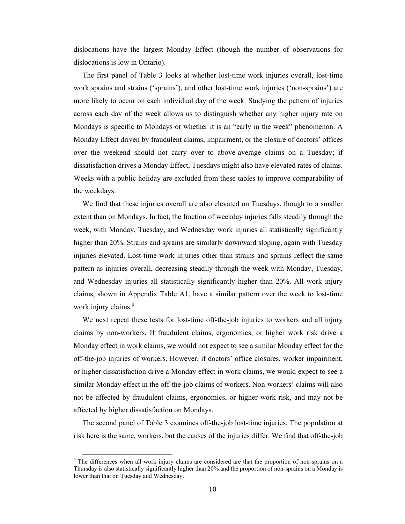dislocations have the largest Monday Effect (though the number of observations for dislocations is low in Ontario).

The first panel of Table 3 looks at whether lost-time work injuries overall, lost-time work sprains and strains ('sprains'), and other lost-time work injuries ('non-sprains') are more likely to occur on each individual day of the week. Studying the pattern of injuries across each day of the week allows us to distinguish whether any higher injury rate on Mondays is specific to Mondays or whether it is an "early in the week" phenomenon. A Monday Effect driven by fraudulent claims, impairment, or the closure of doctors' offices over the weekend should not carry over to above-average claims on a Tuesday; if dissatisfaction drives a Monday Effect, Tuesdays might also have elevated rates of claims. Weeks with a public holiday are excluded from these tables to improve comparability of the weekdays.

We find that these injuries overall are also elevated on Tuesdays, though to a smaller extent than on Mondays. In fact, the fraction of weekday injuries falls steadily through the week, with Monday, Tuesday, and Wednesday work injuries all statistically significantly higher than 20%. Strains and sprains are similarly downward sloping, again with Tuesday injuries elevated. Lost-time work injuries other than strains and sprains reflect the same pattern as injuries overall, decreasing steadily through the week with Monday, Tuesday, and Wednesday injuries all statistically significantly higher than 20%. All work injury claims, shown in Appendix Table A1, have a similar pattern over the week to lost-time work injury claims.<sup>9</sup>

We next repeat these tests for lost-time off-the-job injuries to workers and all injury claims by non-workers. If fraudulent claims, ergonomics, or higher work risk drive a Monday effect in work claims, we would not expect to see a similar Monday effect for the off-the-job injuries of workers. However, if doctors' office closures, worker impairment, or higher dissatisfaction drive a Monday effect in work claims, we would expect to see a similar Monday effect in the off-the-job claims of workers. Non-workers' claims will also not be affected by fraudulent claims, ergonomics, or higher work risk, and may not be affected by higher dissatisfaction on Mondays.

The second panel of Table 3 examines off-the-job lost-time injuries. The population at risk here is the same, workers, but the causes of the injuries differ. We find that off-the-job

<sup>&</sup>lt;sup>9</sup> The differences when all work injury claims are considered are that the proportion of non-sprains on a Thursday is also statistically significantly higher than 20% and the proportion of non-sprains on a Monday is lower than that on Tuesday and Wednesday.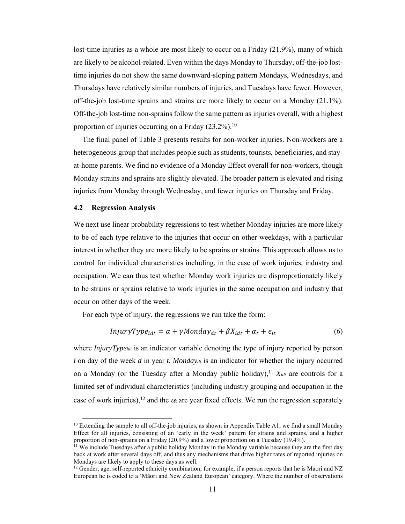lost-time injuries as a whole are most likely to occur on a Friday (21.9%), many of which are likely to be alcohol-related. Even within the days Monday to Thursday, off-the-job losttime injuries do not show the same downward-sloping pattern Mondays, Wednesdays, and Thursdays have relatively similar numbers of injuries, and Tuesdays have fewer. However, off-the-job lost-time sprains and strains are more likely to occur on a Monday (21.1%). Off-the-job lost-time non-sprains follow the same pattern as injuries overall, with a highest proportion of injuries occurring on a Friday (23.2%).<sup>10</sup>

The final panel of Table 3 presents results for non-worker injuries. Non-workers are a heterogeneous group that includes people such as students, tourists, beneficiaries, and stayat-home parents. We find no evidence of a Monday Effect overall for non-workers, though Monday strains and sprains are slightly elevated. The broader pattern is elevated and rising injuries from Monday through Wednesday, and fewer injuries on Thursday and Friday.

### **4.2 Regression Analysis**

We next use linear probability regressions to test whether Monday injuries are more likely to be of each type relative to the injuries that occur on other weekdays, with a particular interest in whether they are more likely to be sprains or strains. This approach allows us to control for individual characteristics including, in the case of work injuries, industry and occupation. We can thus test whether Monday work injuries are disproportionately likely to be strains or sprains relative to work injuries in the same occupation and industry that occur on other days of the week.

For each type of injury, the regressions we run take the form:

$$
InjuryType_{idt} = \alpha + \gamma \text{Monday}_{dt} + \beta X_{idt} + \alpha_t + \epsilon_{it}
$$
\n
$$
\tag{6}
$$

where *InjuryType<sub>idt</sub>* is an indicator variable denoting the type of injury reported by person *i* on day of the week *d* in year *t*, *Monday<sub>dt</sub>* is an indicator for whether the injury occurred on a Monday (or the Tuesday after a Monday public holiday),<sup>11</sup>  $X_{idt}$  are controls for a limited set of individual characteristics (including industry grouping and occupation in the case of work injuries),<sup>12</sup> and the  $\alpha_t$  are year fixed effects. We run the regression separately

<sup>&</sup>lt;sup>10</sup> Extending the sample to all off-the-job injuries, as shown in Appendix Table A1, we find a small Monday Effect for all injuries, consisting of an 'early in the week' pattern for strains and sprains, and a higher proportion of non-sprains on a Friday (20.9%) and a lower proportion on a Tuesday (19.4%).

 $\hat{p}$ <sup>11</sup> We include Tuesdays after a public holiday Monday in the Monday variable because they are the first day back at work after several days off, and thus any mechanisms that drive higher rates of reported injuries on Mondays are likely to apply to these days as well.

<sup>&</sup>lt;sup>12</sup> Gender, age, self-reported ethnicity combination; for example, if a person reports that he is Māori and NZ European he is coded to a 'Māori and New Zealand European' category. Where the number of observations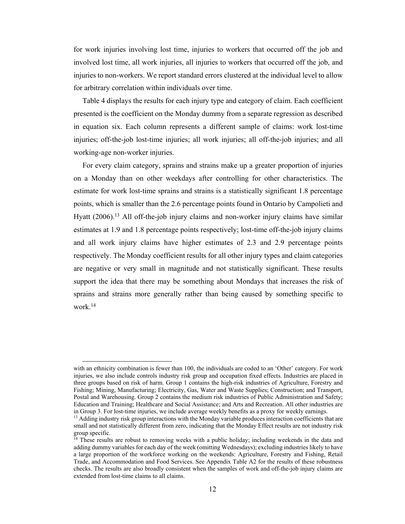for work injuries involving lost time, injuries to workers that occurred off the job and involved lost time, all work injuries, all injuries to workers that occurred off the job, and injuries to non-workers. We report standard errors clustered at the individual level to allow for arbitrary correlation within individuals over time.

Table 4 displays the results for each injury type and category of claim. Each coefficient presented is the coefficient on the Monday dummy from a separate regression as described in equation six. Each column represents a different sample of claims: work lost-time injuries; off-the-job lost-time injuries; all work injuries; all off-the-job injuries; and all working-age non-worker injuries.

For every claim category, sprains and strains make up a greater proportion of injuries on a Monday than on other weekdays after controlling for other characteristics. The estimate for work lost-time sprains and strains is a statistically significant 1.8 percentage points, which is smaller than the 2.6 percentage points found in Ontario by Campolieti and Hyatt (2006).13 All off-the-job injury claims and non-worker injury claims have similar estimates at 1.9 and 1.8 percentage points respectively; lost-time off-the-job injury claims and all work injury claims have higher estimates of 2.3 and 2.9 percentage points respectively. The Monday coefficient results for all other injury types and claim categories are negative or very small in magnitude and not statistically significant. These results support the idea that there may be something about Mondays that increases the risk of sprains and strains more generally rather than being caused by something specific to work.14

with an ethnicity combination is fewer than 100, the individuals are coded to an 'Other' category. For work injuries, we also include controls industry risk group and occupation fixed effects. Industries are placed in three groups based on risk of harm. Group 1 contains the high-risk industries of Agriculture, Forestry and Fishing; Mining, Manufacturing; Electricity, Gas, Water and Waste Supplies; Construction; and Transport, Postal and Warehousing. Group 2 contains the medium risk industries of Public Administration and Safety; Education and Training; Healthcare and Social Assistance; and Arts and Recreation. All other industries are in Group 3. For lost-time injuries, we include average weekly benefits as a proxy for weekly earnings.

<sup>&</sup>lt;sup>13</sup> Adding industry risk group interactions with the Monday variable produces interaction coefficients that are small and not statistically different from zero, indicating that the Monday Effect results are not industry risk group specific.

 $14$  These results are robust to removing weeks with a public holiday; including weekends in the data and adding dummy variables for each day of the week (omitting Wednesdays); excluding industries likely to have a large proportion of the workforce working on the weekends: Agriculture, Forestry and Fishing, Retail Trade, and Accommodation and Food Services. See Appendix Table A2 for the results of these robustness checks. The results are also broadly consistent when the samples of work and off-the-job injury claims are extended from lost-time claims to all claims.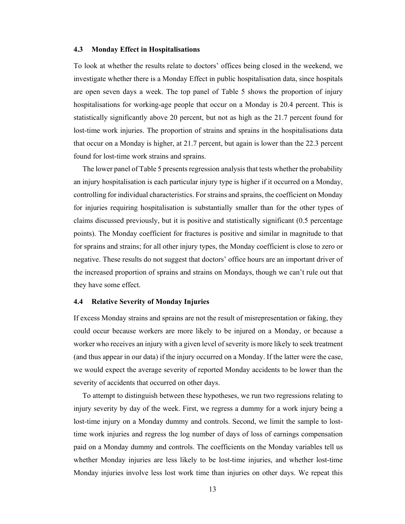## **4.3 Monday Effect in Hospitalisations**

To look at whether the results relate to doctors' offices being closed in the weekend, we investigate whether there is a Monday Effect in public hospitalisation data, since hospitals are open seven days a week. The top panel of Table 5 shows the proportion of injury hospitalisations for working-age people that occur on a Monday is 20.4 percent. This is statistically significantly above 20 percent, but not as high as the 21.7 percent found for lost-time work injuries. The proportion of strains and sprains in the hospitalisations data that occur on a Monday is higher, at 21.7 percent, but again is lower than the 22.3 percent found for lost-time work strains and sprains.

The lower panel of Table 5 presents regression analysis that tests whether the probability an injury hospitalisation is each particular injury type is higher if it occurred on a Monday, controlling for individual characteristics. For strains and sprains, the coefficient on Monday for injuries requiring hospitalisation is substantially smaller than for the other types of claims discussed previously, but it is positive and statistically significant (0.5 percentage points). The Monday coefficient for fractures is positive and similar in magnitude to that for sprains and strains; for all other injury types, the Monday coefficient is close to zero or negative. These results do not suggest that doctors' office hours are an important driver of the increased proportion of sprains and strains on Mondays, though we can't rule out that they have some effect.

# **4.4 Relative Severity of Monday Injuries**

If excess Monday strains and sprains are not the result of misrepresentation or faking, they could occur because workers are more likely to be injured on a Monday, or because a worker who receives an injury with a given level of severity is more likely to seek treatment (and thus appear in our data) if the injury occurred on a Monday. If the latter were the case, we would expect the average severity of reported Monday accidents to be lower than the severity of accidents that occurred on other days.

To attempt to distinguish between these hypotheses, we run two regressions relating to injury severity by day of the week. First, we regress a dummy for a work injury being a lost-time injury on a Monday dummy and controls. Second, we limit the sample to losttime work injuries and regress the log number of days of loss of earnings compensation paid on a Monday dummy and controls. The coefficients on the Monday variables tell us whether Monday injuries are less likely to be lost-time injuries, and whether lost-time Monday injuries involve less lost work time than injuries on other days. We repeat this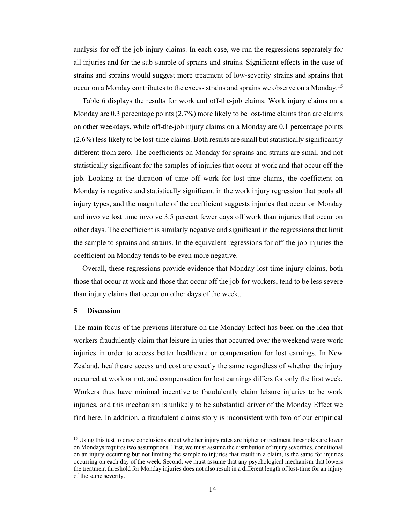analysis for off-the-job injury claims. In each case, we run the regressions separately for all injuries and for the sub-sample of sprains and strains. Significant effects in the case of strains and sprains would suggest more treatment of low-severity strains and sprains that occur on a Monday contributes to the excess strains and sprains we observe on a Monday.15

Table 6 displays the results for work and off-the-job claims. Work injury claims on a Monday are 0.3 percentage points (2.7%) more likely to be lost-time claims than are claims on other weekdays, while off-the-job injury claims on a Monday are 0.1 percentage points (2.6%) less likely to be lost-time claims. Both results are small but statistically significantly different from zero. The coefficients on Monday for sprains and strains are small and not statistically significant for the samples of injuries that occur at work and that occur off the job. Looking at the duration of time off work for lost-time claims, the coefficient on Monday is negative and statistically significant in the work injury regression that pools all injury types, and the magnitude of the coefficient suggests injuries that occur on Monday and involve lost time involve 3.5 percent fewer days off work than injuries that occur on other days. The coefficient is similarly negative and significant in the regressions that limit the sample to sprains and strains. In the equivalent regressions for off-the-job injuries the coefficient on Monday tends to be even more negative.

Overall, these regressions provide evidence that Monday lost-time injury claims, both those that occur at work and those that occur off the job for workers, tend to be less severe than injury claims that occur on other days of the week..

### **5 Discussion**

The main focus of the previous literature on the Monday Effect has been on the idea that workers fraudulently claim that leisure injuries that occurred over the weekend were work injuries in order to access better healthcare or compensation for lost earnings. In New Zealand, healthcare access and cost are exactly the same regardless of whether the injury occurred at work or not, and compensation for lost earnings differs for only the first week. Workers thus have minimal incentive to fraudulently claim leisure injuries to be work injuries, and this mechanism is unlikely to be substantial driver of the Monday Effect we find here. In addition, a fraudulent claims story is inconsistent with two of our empirical

<sup>&</sup>lt;sup>15</sup> Using this test to draw conclusions about whether injury rates are higher or treatment thresholds are lower on Mondays requires two assumptions. First, we must assume the distribution of injury severities, conditional on an injury occurring but not limiting the sample to injuries that result in a claim, is the same for injuries occurring on each day of the week. Second, we must assume that any psychological mechanism that lowers the treatment threshold for Monday injuries does not also result in a different length of lost-time for an injury of the same severity.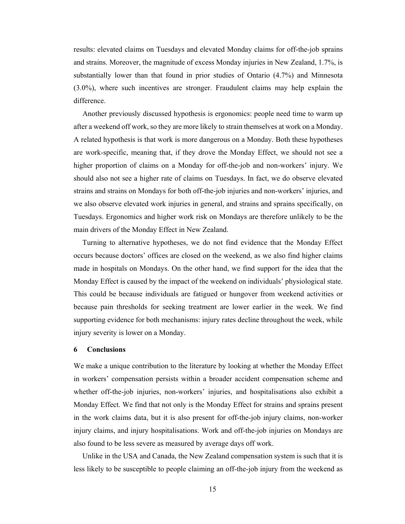results: elevated claims on Tuesdays and elevated Monday claims for off-the-job sprains and strains. Moreover, the magnitude of excess Monday injuries in New Zealand, 1.7%, is substantially lower than that found in prior studies of Ontario (4.7%) and Minnesota (3.0%), where such incentives are stronger. Fraudulent claims may help explain the difference.

Another previously discussed hypothesis is ergonomics: people need time to warm up after a weekend off work, so they are more likely to strain themselves at work on a Monday. A related hypothesis is that work is more dangerous on a Monday. Both these hypotheses are work-specific, meaning that, if they drove the Monday Effect, we should not see a higher proportion of claims on a Monday for off-the-job and non-workers' injury. We should also not see a higher rate of claims on Tuesdays. In fact, we do observe elevated strains and strains on Mondays for both off-the-job injuries and non-workers' injuries, and we also observe elevated work injuries in general, and strains and sprains specifically, on Tuesdays. Ergonomics and higher work risk on Mondays are therefore unlikely to be the main drivers of the Monday Effect in New Zealand.

Turning to alternative hypotheses, we do not find evidence that the Monday Effect occurs because doctors' offices are closed on the weekend, as we also find higher claims made in hospitals on Mondays. On the other hand, we find support for the idea that the Monday Effect is caused by the impact of the weekend on individuals' physiological state. This could be because individuals are fatigued or hungover from weekend activities or because pain thresholds for seeking treatment are lower earlier in the week. We find supporting evidence for both mechanisms: injury rates decline throughout the week, while injury severity is lower on a Monday.

### **6 Conclusions**

We make a unique contribution to the literature by looking at whether the Monday Effect in workers' compensation persists within a broader accident compensation scheme and whether off-the-job injuries, non-workers' injuries, and hospitalisations also exhibit a Monday Effect. We find that not only is the Monday Effect for strains and sprains present in the work claims data, but it is also present for off-the-job injury claims, non-worker injury claims, and injury hospitalisations. Work and off-the-job injuries on Mondays are also found to be less severe as measured by average days off work.

Unlike in the USA and Canada, the New Zealand compensation system is such that it is less likely to be susceptible to people claiming an off-the-job injury from the weekend as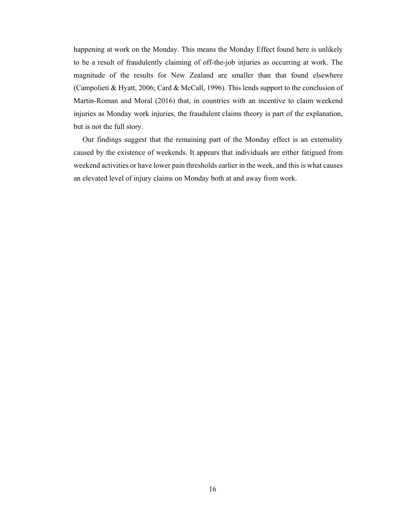happening at work on the Monday. This means the Monday Effect found here is unlikely to be a result of fraudulently claiming of off-the-job injuries as occurring at work. The magnitude of the results for New Zealand are smaller than that found elsewhere (Campolieti & Hyatt, 2006; Card & McCall, 1996). This lends support to the conclusion of Martin-Roman and Moral (2016) that, in countries with an incentive to claim weekend injuries as Monday work injuries, the fraudulent claims theory is part of the explanation, but is not the full story.

Our findings suggest that the remaining part of the Monday effect is an externality caused by the existence of weekends. It appears that individuals are either fatigued from weekend activities or have lower pain thresholds earlier in the week, and this is what causes an elevated level of injury claims on Monday both at and away from work.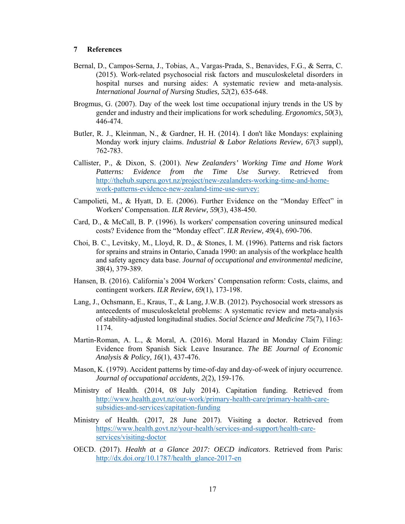# **7 References**

- Bernal, D., Campos-Serna, J., Tobias, A., Vargas-Prada, S., Benavides, F.G., & Serra, C. (2015). Work-related psychosocial risk factors and musculoskeletal disorders in hospital nurses and nursing aides: A systematic review and meta-analysis. *International Journal of Nursing Studies, 52*(2), 635-648.
- Brogmus, G. (2007). Day of the week lost time occupational injury trends in the US by gender and industry and their implications for work scheduling. *Ergonomics, 50*(3), 446-474.
- Butler, R. J., Kleinman, N., & Gardner, H. H. (2014). I don't like Mondays: explaining Monday work injury claims. *Industrial & Labor Relations Review, 67*(3 suppl), 762-783.
- Callister, P., & Dixon, S. (2001). *New Zealanders' Working Time and Home Work Patterns: Evidence from the Time Use Survey*. Retrieved from http://thehub.superu.govt.nz/project/new-zealanders-working-time-and-homework-patterns-evidence-new-zealand-time-use-survey:
- Campolieti, M., & Hyatt, D. E. (2006). Further Evidence on the "Monday Effect" in Workers' Compensation. *ILR Review, 59*(3), 438-450.
- Card, D., & McCall, B. P. (1996). Is workers' compensation covering uninsured medical costs? Evidence from the "Monday effect". *ILR Review, 49*(4), 690-706.
- Choi, B. C., Levitsky, M., Lloyd, R. D., & Stones, I. M. (1996). Patterns and risk factors for sprains and strains in Ontario, Canada 1990: an analysis of the workplace health and safety agency data base. *Journal of occupational and environmental medicine, 38*(4), 379-389.
- Hansen, B. (2016). California's 2004 Workers' Compensation reform: Costs, claims, and contingent workers. *ILR Review, 69*(1), 173-198.
- Lang, J., Ochsmann, E., Kraus, T., & Lang, J.W.B. (2012). Psychosocial work stressors as antecedents of musculoskeletal problems: A systematic review and meta-analysis of stability-adjusted longitudinal studies. *Social Science and Medicine 75*(7), 1163- 1174.
- Martin-Roman, A. L., & Moral, A. (2016). Moral Hazard in Monday Claim Filing: Evidence from Spanish Sick Leave Insurance. *The BE Journal of Economic Analysis & Policy, 16*(1), 437-476.
- Mason, K. (1979). Accident patterns by time-of-day and day-of-week of injury occurrence. *Journal of occupational accidents, 2*(2), 159-176.
- Ministry of Health. (2014, 08 July 2014). Capitation funding. Retrieved from http://www.health.govt.nz/our-work/primary-health-care/primary-health-caresubsidies-and-services/capitation-funding
- Ministry of Health. (2017, 28 June 2017). Visiting a doctor. Retrieved from https://www.health.govt.nz/your-health/services-and-support/health-careservices/visiting-doctor
- OECD. (2017). *Health at a Glance 2017: OECD indicators*. Retrieved from Paris: http://dx.doi.org/10.1787/health\_glance-2017-en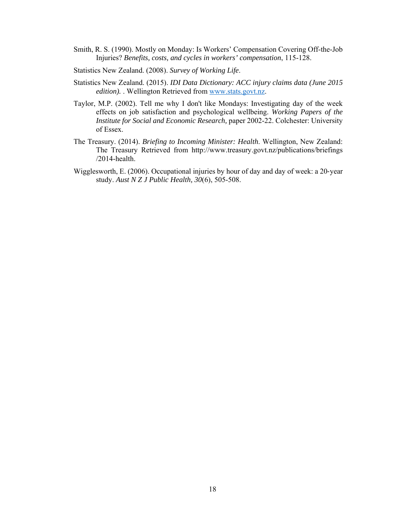- Smith, R. S. (1990). Mostly on Monday: Is Workers' Compensation Covering Off-the-Job Injuries? *Benefits, costs, and cycles in workers' compensation*, 115-128.
- Statistics New Zealand. (2008). *Survey of Working Life*.
- Statistics New Zealand. (2015). *IDI Data Dictionary: ACC injury claims data (June 2015 edition).* . Wellington Retrieved from www.stats.govt.nz.
- Taylor, M.P. (2002). Tell me why I don't like Mondays: Investigating day of the week effects on job satisfaction and psychological wellbeing. *Working Papers of the Institute for Social and Economic Research,* paper 2002-22. Colchester: University of Essex.
- The Treasury. (2014). *Briefing to Incoming Minister: Health*. Wellington, New Zealand: The Treasury Retrieved from http://www.treasury.govt.nz/publications/briefings /2014-health.
- Wigglesworth, E. (2006). Occupational injuries by hour of day and day of week: a 20-year study. *Aust N Z J Public Health, 30*(6), 505-508.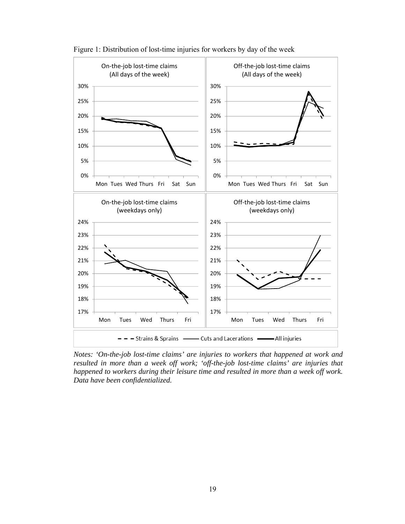

Figure 1: Distribution of lost-time injuries for workers by day of the week

*Notes: 'On-the-job lost-time claims' are injuries to workers that happened at work and resulted in more than a week off work; 'off-the-job lost-time claims' are injuries that happened to workers during their leisure time and resulted in more than a week off work. Data have been confidentialized.*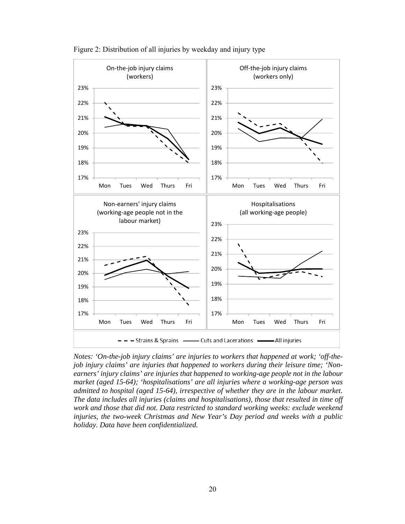

Figure 2: Distribution of all injuries by weekday and injury type

*Notes: 'On-the-job injury claims' are injuries to workers that happened at work; 'off-thejob injury claims' are injuries that happened to workers during their leisure time; 'Nonearners' injury claims' are injuries that happened to working-age people not in the labour market (aged 15-64); 'hospitalisations' are all injuries where a working-age person was admitted to hospital (aged 15-64), irrespective of whether they are in the labour market. The data includes all injuries (claims and hospitalisations), those that resulted in time off work and those that did not. Data restricted to standard working weeks: exclude weekend injuries, the two-week Christmas and New Year's Day period and weeks with a public holiday. Data have been confidentialized.*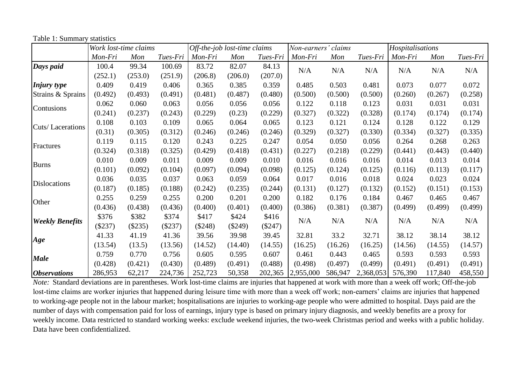|                            | Work lost-time claims |         |           | Off-the-job lost-time claims |           |           | Non-earners' claims |         |           | Hospitalisations |         |          |
|----------------------------|-----------------------|---------|-----------|------------------------------|-----------|-----------|---------------------|---------|-----------|------------------|---------|----------|
|                            | Mon-Fri               | Mon     | Tues-Fri  | Mon-Fri                      | Mon       | Tues-Fri  | Mon-Fri             | Mon     | Tues-Fri  | Mon-Fri          | Mon     | Tues-Fri |
| Days paid                  | 100.4                 | 99.34   | 100.69    | 83.72                        | 82.07     | 84.13     | N/A                 | N/A     | N/A       | N/A              | N/A     | N/A      |
|                            | (252.1)               | (253.0) | (251.9)   | (206.8)                      | (206.0)   | (207.0)   |                     |         |           |                  |         |          |
| <i>Injury type</i>         | 0.409                 | 0.419   | 0.406     | 0.365                        | 0.385     | 0.359     | 0.485               | 0.503   | 0.481     | 0.073            | 0.077   | 0.072    |
| Strains & Sprains          | (0.492)               | (0.493) | (0.491)   | (0.481)                      | (0.487)   | (0.480)   | (0.500)             | (0.500) | (0.500)   | (0.260)          | (0.267) | (0.258)  |
| Contusions                 | 0.062                 | 0.060   | 0.063     | 0.056                        | 0.056     | 0.056     | 0.122               | 0.118   | 0.123     | 0.031            | 0.031   | 0.031    |
|                            | (0.241)               | (0.237) | (0.243)   | (0.229)                      | (0.23)    | (0.229)   | (0.327)             | (0.322) | (0.328)   | (0.174)          | (0.174) | (0.174)  |
| Cuts/Lacerations           | 0.108                 | 0.103   | 0.109     | 0.065                        | 0.064     | 0.065     | 0.123               | 0.121   | 0.124     | 0.128            | 0.122   | 0.129    |
|                            | (0.31)                | (0.305) | (0.312)   | (0.246)                      | (0.246)   | (0.246)   | (0.329)             | (0.327) | (0.330)   | (0.334)          | (0.327) | (0.335)  |
| Fractures                  | 0.119                 | 0.115   | 0.120     | 0.243                        | 0.225     | 0.247     | 0.054               | 0.050   | 0.056     | 0.264            | 0.268   | 0.263    |
|                            | (0.324)               | (0.318) | (0.325)   | (0.429)                      | (0.418)   | (0.431)   | (0.227)             | (0.218) | (0.229)   | (0.441)          | (0.443) | (0.440)  |
| <b>Burns</b>               | 0.010                 | 0.009   | 0.011     | 0.009                        | 0.009     | 0.010     | 0.016               | 0.016   | 0.016     | 0.014            | 0.013   | 0.014    |
|                            | (0.101)               | (0.092) | (0.104)   | (0.097)                      | (0.094)   | (0.098)   | (0.125)             | (0.124) | (0.125)   | (0.116)          | (0.113) | (0.117)  |
| Dislocations               | 0.036                 | 0.035   | 0.037     | 0.063                        | 0.059     | 0.064     | 0.017               | 0.016   | 0.018     | 0.024            | 0.023   | 0.024    |
|                            | (0.187)               | (0.185) | (0.188)   | (0.242)                      | (0.235)   | (0.244)   | (0.131)             | (0.127) | (0.132)   | (0.152)          | (0.151) | (0.153)  |
| Other                      | 0.255                 | 0.259   | 0.255     | 0.200                        | 0.201     | 0.200     | 0.182               | 0.176   | 0.184     | 0.467            | 0.465   | 0.467    |
|                            | (0.436)               | (0.438) | (0.436)   | (0.400)                      | (0.401)   | (0.400)   | (0.386)             | (0.381) | (0.387)   | (0.499)          | (0.499) | (0.499)  |
| <b>Weekly Benefits</b>     | \$376                 | \$382   | \$374     | \$417                        | \$424     | \$416     | N/A                 | N/A     | N/A       | N/A              | N/A     | N/A      |
|                            | $(\$237)$             | (\$235) | $(\$237)$ | $(\$248)$                    | $(\$249)$ | $(\$247)$ |                     |         |           |                  |         |          |
| Age                        | 41.33                 | 41.19   | 41.36     | 39.56                        | 39.98     | 39.45     | 32.81               | 33.2    | 32.71     | 38.12            | 38.14   | 38.12    |
|                            | (13.54)               | (13.5)  | (13.56)   | (14.52)                      | (14.40)   | (14.55)   | (16.25)             | (16.26) | (16.25)   | (14.56)          | (14.55) | (14.57)  |
| <b>Male</b>                | 0.759                 | 0.770   | 0.756     | 0.605                        | 0.595     | 0.607     | 0.461               | 0.443   | 0.465     | 0.593            | 0.593   | 0.593    |
|                            | (0.428)               | (0.421) | (0.430)   | (0.489)                      | (0.491)   | (0.488)   | (0.498)             | (0.497) | (0.499)   | (0.491)          | (0.491) | (0.491)  |
| <i><b>Observations</b></i> | 286,953               | 62,217  | 224,736   | 252,723                      | 50,358    | 202,365   | 2,955,000           | 586,947 | 2,368,053 | 576,390          | 117,840 | 458,550  |

Table 1: Summary statistics

*Note:* Standard deviations are in parentheses. Work lost-time claims are injuries that happened at work with more than a week off work; Off-the-job lost-time claims are worker injuries that happened during leisure time with more than a week off work; non-earners' claims are injuries that happened to working-age people not in the labour market; hospitalisations are injuries to working-age people who were admitted to hospital. Days paid are the number of days with compensation paid for loss of earnings, injury type is based on primary injury diagnosis, and weekly benefits are a proxy for weekly income. Data restricted to standard working weeks: exclude weekend injuries, the two-week Christmas period and weeks with a public holiday. Data have been confidentialized.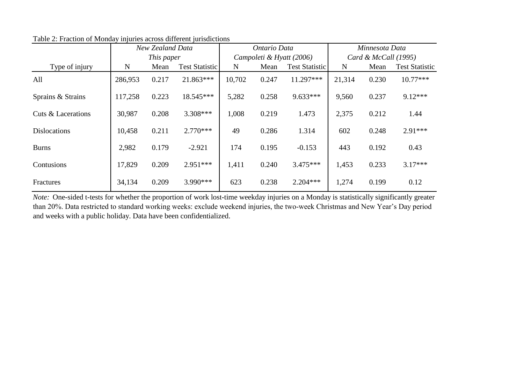|                     | New Zealand Data |            |                       |        | Ontario Data |                          | Minnesota Data         |       |                       |  |
|---------------------|------------------|------------|-----------------------|--------|--------------|--------------------------|------------------------|-------|-----------------------|--|
|                     |                  | This paper |                       |        |              | Campoleti & Hyatt (2006) | Card & McCall $(1995)$ |       |                       |  |
| Type of injury      | N                | Mean       | <b>Test Statistic</b> | N      | Mean         | <b>Test Statistic</b>    | N                      | Mean  | <b>Test Statistic</b> |  |
| All                 | 286,953          | 0.217      | 21.863***             | 10,702 | 0.247        | 11.297***                | 21,314                 | 0.230 | $10.77***$            |  |
| Sprains & Strains   | 117,258          | 0.223      | 18.545***             | 5,282  | 0.258        | $9.633***$               | 9,560                  | 0.237 | $9.12***$             |  |
| Cuts & Lacerations  | 30,987           | 0.208      | 3.308***              | 1,008  | 0.219        | 1.473                    | 2,375                  | 0.212 | 1.44                  |  |
| <b>Dislocations</b> | 10,458           | 0.211      | $2.770***$            | 49     | 0.286        | 1.314                    | 602                    | 0.248 | $2.91***$             |  |
| <b>Burns</b>        | 2,982            | 0.179      | $-2.921$              | 174    | 0.195        | $-0.153$                 | 443                    | 0.192 | 0.43                  |  |
| Contusions          | 17,829           | 0.209      | $2.951***$            | 1,411  | 0.240        | $3.475***$               | 1,453                  | 0.233 | $3.17***$             |  |
| Fractures           | 34,134           | 0.209      | $3.990***$            | 623    | 0.238        | $2.204***$               | 1,274                  | 0.199 | 0.12                  |  |

Table 2: Fraction of Monday injuries across different jurisdictions

*Note:* One-sided t-tests for whether the proportion of work lost-time weekday injuries on a Monday is statistically significantly greater than 20%. Data restricted to standard working weeks: exclude weekend injuries, the two-week Christmas and New Year's Day period and weeks with a public holiday. Data have been confidentialized.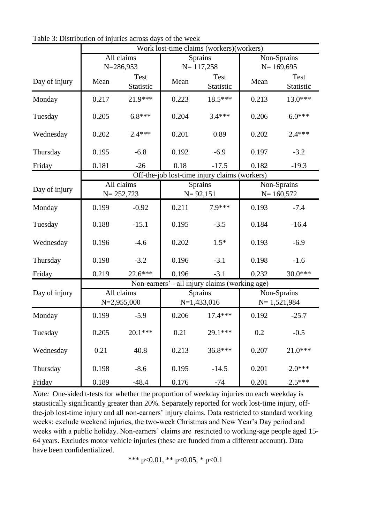|               | Work lost-time claims (workers)(workers) |                             |       |                                                |                              |                              |  |  |  |
|---------------|------------------------------------------|-----------------------------|-------|------------------------------------------------|------------------------------|------------------------------|--|--|--|
|               |                                          | All claims<br>$N = 286,953$ |       | <b>Sprains</b><br>$N = 117,258$                |                              | Non-Sprains<br>$N = 169,695$ |  |  |  |
| Day of injury | Mean                                     | Test<br>Statistic           | Mean  | Test<br>Statistic                              | Mean                         | <b>Test</b><br>Statistic     |  |  |  |
| Monday        | 0.217                                    | 21.9***                     | 0.223 | $18.5***$                                      | 0.213                        | $13.0***$                    |  |  |  |
| Tuesday       | 0.205                                    | $6.8***$                    | 0.204 | $3.4***$                                       | 0.206                        | $6.0***$                     |  |  |  |
| Wednesday     | 0.202                                    | $2.4***$                    | 0.201 | 0.89                                           | 0.202                        | $2.4***$                     |  |  |  |
| Thursday      | 0.195                                    | $-6.8$                      | 0.192 | $-6.9$                                         | 0.197                        | $-3.2$                       |  |  |  |
| Friday        | 0.181                                    | $-26$                       | 0.18  | $-17.5$                                        | 0.182                        | $-19.3$                      |  |  |  |
|               |                                          |                             |       | Off-the-job lost-time injury claims (workers)  |                              |                              |  |  |  |
| Day of injury |                                          | All claims<br>$N = 252,723$ |       | <b>Sprains</b><br>$N = 92,151$                 | Non-Sprains<br>$N = 160,572$ |                              |  |  |  |
| Monday        | 0.199                                    | $-0.92$                     | 0.211 | 7.9***                                         | 0.193                        | $-7.4$                       |  |  |  |
| Tuesday       | 0.188                                    | $-15.1$                     | 0.195 | $-3.5$                                         | 0.184                        | $-16.4$                      |  |  |  |
| Wednesday     | 0.196                                    | $-4.6$                      | 0.202 | $1.5*$                                         | 0.193                        | $-6.9$                       |  |  |  |
| Thursday      | 0.198                                    | $-3.2$                      | 0.196 | $-3.1$                                         | 0.198                        | $-1.6$                       |  |  |  |
| Friday        | 0.219                                    | 22.6***                     | 0.196 | $-3.1$                                         | 0.232                        | $30.0***$                    |  |  |  |
|               |                                          |                             |       | Non-earners' - all injury claims (working age) |                              |                              |  |  |  |
| Day of injury |                                          | All claims<br>$N=2,955,000$ |       | <b>Sprains</b><br>$N=1,433,016$                | Non-Sprains<br>$N=1,521,984$ |                              |  |  |  |
| Monday        | 0.199                                    | $-5.9$                      | 0.206 | $17.4***$                                      | 0.192                        | $-25.7$                      |  |  |  |
| Tuesday       | 0.205                                    | $20.1***$                   | 0.21  | 29.1***                                        | 0.2                          | $-0.5$                       |  |  |  |
| Wednesday     | 0.21                                     | 40.8                        | 0.213 | 36.8***                                        | 0.207                        | $21.0***$                    |  |  |  |
| Thursday      | 0.198                                    | $-8.6$                      | 0.195 | $-14.5$                                        | 0.201                        | $2.0***$                     |  |  |  |
| Friday        | 0.189                                    | $-48.4$                     | 0.176 | $-74$                                          | 0.201                        | $2.5***$                     |  |  |  |

Table 3: Distribution of injuries across days of the week

*Note:* One-sided t-tests for whether the proportion of weekday injuries on each weekday is statistically significantly greater than 20%. Separately reported for work lost-time injury, offthe-job lost-time injury and all non-earners' injury claims. Data restricted to standard working weeks: exclude weekend injuries, the two-week Christmas and New Year's Day period and weeks with a public holiday. Non-earners' claims are restricted to working-age people aged 15- 64 years. Excludes motor vehicle injuries (these are funded from a different account). Data have been confidentialized.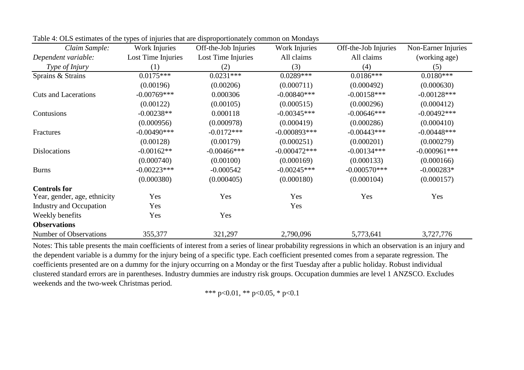| Claim Sample:                  | Work Injuries      | Off-the-Job Injuries | Work Injuries  | Off-the-Job Injuries | Non-Earner Injuries |
|--------------------------------|--------------------|----------------------|----------------|----------------------|---------------------|
| Dependent variable:            | Lost Time Injuries | Lost Time Injuries   | All claims     | All claims           | (working age)       |
| Type of Injury                 | (1)                | (2)                  | (3)            | (4)                  | (5)                 |
| Sprains & Strains              | $0.0175***$        | $0.0231***$          | $0.0289***$    | $0.0186***$          | $0.0180***$         |
|                                | (0.00196)          | (0.00206)            | (0.000711)     | (0.000492)           | (0.000630)          |
| <b>Cuts and Lacerations</b>    | $-0.00769***$      | 0.000306             | $-0.00840$ *** | $-0.00158***$        | $-0.00128***$       |
|                                | (0.00122)          | (0.00105)            | (0.000515)     | (0.000296)           | (0.000412)          |
| Contusions                     | $-0.00238**$       | 0.000118             | $-0.00345***$  | $-0.00646***$        | $-0.00492***$       |
|                                | (0.000956)         | (0.000978)           | (0.000419)     | (0.000286)           | (0.000410)          |
| Fractures                      | $-0.00490$ ***     | $-0.0172***$         | $-0.000893***$ | $-0.00443***$        | $-0.00448$ ***      |
|                                | (0.00128)          | (0.00179)            | (0.000251)     | (0.000201)           | (0.000279)          |
| <b>Dislocations</b>            | $-0.00162**$       | $-0.00466$ ***       | $-0.000472***$ | $-0.00134***$        | $-0.000961***$      |
|                                | (0.000740)         | (0.00100)            | (0.000169)     | (0.000133)           | (0.000166)          |
| <b>Burns</b>                   | $-0.00223***$      | $-0.000542$          | $-0.00245***$  | $-0.000570***$       | $-0.000283*$        |
|                                | (0.000380)         | (0.000405)           | (0.000180)     | (0.000104)           | (0.000157)          |
| <b>Controls for</b>            |                    |                      |                |                      |                     |
| Year, gender, age, ethnicity   | Yes                | Yes                  | Yes            | Yes                  | Yes                 |
| <b>Industry and Occupation</b> | Yes                |                      | Yes            |                      |                     |
| Weekly benefits                | Yes                | Yes                  |                |                      |                     |
| <b>Observations</b>            |                    |                      |                |                      |                     |
| Number of Observations         | 355,377            | 321,297              | 2,790,096      | 5,773,641            | 3,727,776           |

Table 4: OLS estimates of the types of injuries that are disproportionately common on Mondays

Notes: This table presents the main coefficients of interest from a series of linear probability regressions in which an observation is an injury and the dependent variable is a dummy for the injury being of a specific type. Each coefficient presented comes from a separate regression. The coefficients presented are on a dummy for the injury occurring on a Monday or the first Tuesday after a public holiday. Robust individual clustered standard errors are in parentheses. Industry dummies are industry risk groups. Occupation dummies are level 1 ANZSCO. Excludes weekends and the two-week Christmas period.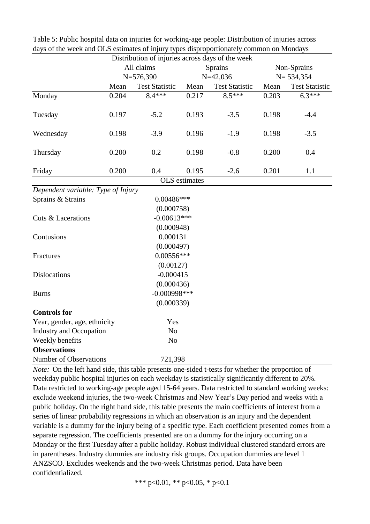|                                                  |       | Distribution of injuries across days of the week |                      |                       |       |                       |
|--------------------------------------------------|-------|--------------------------------------------------|----------------------|-----------------------|-------|-----------------------|
|                                                  |       | All claims                                       |                      | Sprains               |       | Non-Sprains           |
|                                                  |       | $N = 576,390$                                    |                      | $N=42,036$            |       | $N = 534,354$         |
|                                                  | Mean  | <b>Test Statistic</b>                            | Mean                 | <b>Test Statistic</b> | Mean  | <b>Test Statistic</b> |
| Monday                                           | 0.204 | 8.4***                                           | 0.217                | $8.5***$              | 0.203 | $6.\overline{3***}$   |
| Tuesday                                          | 0.197 | $-5.2$                                           | 0.193                | $-3.5$                | 0.198 | $-4.4$                |
| Wednesday                                        | 0.198 | $-3.9$                                           | 0.196                | $-1.9$                | 0.198 | $-3.5$                |
| Thursday                                         | 0.200 | 0.2                                              | 0.198                | $-0.8$                | 0.200 | 0.4                   |
| Friday                                           | 0.200 | 0.4                                              | 0.195                | $-2.6$                | 0.201 | 1.1                   |
|                                                  |       |                                                  | <b>OLS</b> estimates |                       |       |                       |
| Dependent variable: Type of Injury               |       |                                                  |                      |                       |       |                       |
| Sprains & Strains                                |       | $0.00486***$                                     |                      |                       |       |                       |
|                                                  |       | (0.000758)                                       |                      |                       |       |                       |
| <b>Cuts &amp; Lacerations</b>                    |       | $-0.00613***$                                    |                      |                       |       |                       |
|                                                  |       | (0.000948)                                       |                      |                       |       |                       |
| Contusions                                       |       | 0.000131                                         |                      |                       |       |                       |
|                                                  |       | (0.000497)                                       |                      |                       |       |                       |
| Fractures                                        |       | $0.00556***$                                     |                      |                       |       |                       |
|                                                  |       | (0.00127)                                        |                      |                       |       |                       |
| <b>Dislocations</b>                              |       | $-0.000415$                                      |                      |                       |       |                       |
|                                                  |       | (0.000436)                                       |                      |                       |       |                       |
| <b>Burns</b>                                     |       | $-0.000998***$                                   |                      |                       |       |                       |
|                                                  |       | (0.000339)                                       |                      |                       |       |                       |
| <b>Controls for</b>                              |       |                                                  |                      |                       |       |                       |
| Year, gender, age, ethnicity                     |       | Yes                                              |                      |                       |       |                       |
| <b>Industry and Occupation</b><br>N <sub>o</sub> |       |                                                  |                      |                       |       |                       |
| Weekly benefits                                  |       | No                                               |                      |                       |       |                       |
| <b>Observations</b>                              |       |                                                  |                      |                       |       |                       |
| <b>Number of Observations</b>                    |       | 721,398                                          |                      |                       |       |                       |

Table 5: Public hospital data on injuries for working-age people: Distribution of injuries across days of the week and OLS estimates of injury types disproportionately common on Mondays

*Note:* On the left hand side, this table presents one-sided t-tests for whether the proportion of weekday public hospital injuries on each weekday is statistically significantly different to 20%. Data restricted to working-age people aged 15-64 years. Data restricted to standard working weeks: exclude weekend injuries, the two-week Christmas and New Year's Day period and weeks with a public holiday. On the right hand side, this table presents the main coefficients of interest from a series of linear probability regressions in which an observation is an injury and the dependent variable is a dummy for the injury being of a specific type. Each coefficient presented comes from a separate regression. The coefficients presented are on a dummy for the injury occurring on a Monday or the first Tuesday after a public holiday. Robust individual clustered standard errors are in parentheses. Industry dummies are industry risk groups. Occupation dummies are level 1 ANZSCO. Excludes weekends and the two-week Christmas period. Data have been confidentialized.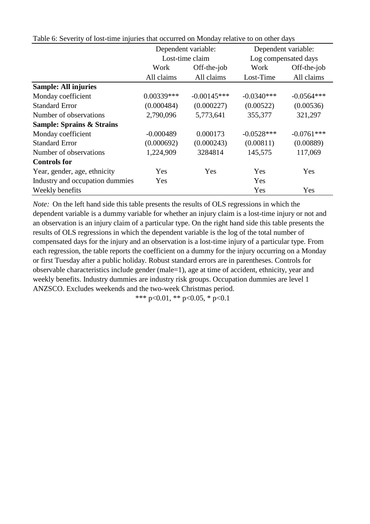|                                      |              | Dependent variable: |              | Dependent variable:  |  |
|--------------------------------------|--------------|---------------------|--------------|----------------------|--|
|                                      |              | Lost-time claim     |              | Log compensated days |  |
|                                      | Work         | Off-the-job         | Work         | Off-the-job          |  |
|                                      | All claims   | All claims          | Lost-Time    | All claims           |  |
| <b>Sample: All injuries</b>          |              |                     |              |                      |  |
| Monday coefficient                   | $0.00339***$ | $-0.00145***$       | $-0.0340***$ | $-0.0564***$         |  |
| <b>Standard Error</b>                | (0.000484)   | (0.000227)          | (0.00522)    | (0.00536)            |  |
| Number of observations               | 2,790,096    | 5,773,641           | 355,377      | 321,297              |  |
| <b>Sample: Sprains &amp; Strains</b> |              |                     |              |                      |  |
| Monday coefficient                   | $-0.000489$  | 0.000173            | $-0.0528***$ | $-0.0761***$         |  |
| <b>Standard Error</b>                | (0.000692)   | (0.000243)          | (0.00811)    | (0.00889)            |  |
| Number of observations               | 1,224,909    | 3284814             | 145,575      | 117,069              |  |
| <b>Controls for</b>                  |              |                     |              |                      |  |
| Year, gender, age, ethnicity         | Yes          | Yes                 | Yes          | Yes                  |  |
| Industry and occupation dummies      | Yes          |                     | Yes          |                      |  |
| Weekly benefits                      |              |                     | Yes          | Yes                  |  |

Table 6: Severity of lost-time injuries that occurred on Monday relative to on other days

*Note:* On the left hand side this table presents the results of OLS regressions in which the dependent variable is a dummy variable for whether an injury claim is a lost-time injury or not and an observation is an injury claim of a particular type. On the right hand side this table presents the results of OLS regressions in which the dependent variable is the log of the total number of compensated days for the injury and an observation is a lost-time injury of a particular type. From each regression, the table reports the coefficient on a dummy for the injury occurring on a Monday or first Tuesday after a public holiday. Robust standard errors are in parentheses. Controls for observable characteristics include gender (male=1), age at time of accident, ethnicity, year and weekly benefits. Industry dummies are industry risk groups. Occupation dummies are level 1 ANZSCO. Excludes weekends and the two-week Christmas period.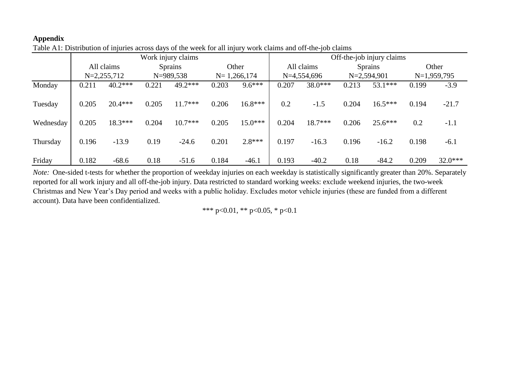# **Appendix**

| --- , --- <i>. ,</i> |                    |           |                               |           |                 |           |                           |            |               |                |               |           |  |
|----------------------|--------------------|-----------|-------------------------------|-----------|-----------------|-----------|---------------------------|------------|---------------|----------------|---------------|-----------|--|
|                      | Work injury claims |           |                               |           |                 |           | Off-the-job injury claims |            |               |                |               |           |  |
|                      | All claims         |           | <b>Sprains</b><br>$N=989,538$ |           |                 | Other     |                           | All claims |               | <b>Sprains</b> |               | Other     |  |
| $N=2,255,712$        |                    |           |                               |           | $N = 1,266,174$ |           | $N=4,554,696$             |            | $N=2,594,901$ |                | $N=1,959,795$ |           |  |
| Monday               | 0.211              | $40.2***$ | 0.221                         | $49.2***$ | 0.203           | $9.6***$  | 0.207                     | 38.0***    | 0.213         | $53.1***$      | 0.199         | $-3.9$    |  |
| Tuesday              | 0.205              | $20.4***$ | 0.205                         | $11.7***$ | 0.206           | $16.8***$ | 0.2                       | $-1.5$     | 0.204         | $16.5***$      | 0.194         | $-21.7$   |  |
| Wednesday            | 0.205              | 18.3***   | 0.204                         | $10.7***$ | 0.205           | $15.0***$ | 0.204                     | $18.7***$  | 0.206         | $25.6***$      | 0.2           | $-1.1$    |  |
| Thursday             | 0.196              | $-13.9$   | 0.19                          | $-24.6$   | 0.201           | $2.8***$  | 0.197                     | $-16.3$    | 0.196         | $-16.2$        | 0.198         | $-6.1$    |  |
| Friday               | 0.182              | $-68.6$   | 0.18                          | $-51.6$   | 0.184           | $-46.1$   | 0.193                     | $-40.2$    | 0.18          | $-84.2$        | 0.209         | $32.0***$ |  |

Table A1: Distribution of injuries across days of the week for all injury work claims and off-the-job claims

*Note*: One-sided t-tests for whether the proportion of weekday injuries on each weekday is statistically significantly greater than 20%. Separately reported for all work injury and all off-the-job injury. Data restricted to standard working weeks: exclude weekend injuries, the two-week Christmas and New Year's Day period and weeks with a public holiday. Excludes motor vehicle injuries (these are funded from a different account). Data have been confidentialized.